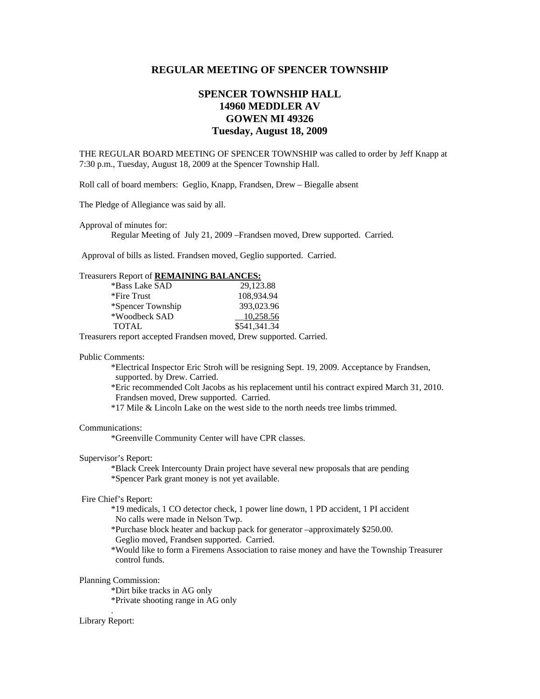## **REGULAR MEETING OF SPENCER TOWNSHIP**

# **SPENCER TOWNSHIP HALL 14960 MEDDLER AV GOWEN MI 49326 Tuesday, August 18, 2009**

THE REGULAR BOARD MEETING OF SPENCER TOWNSHIP was called to order by Jeff Knapp at 7:30 p.m., Tuesday, August 18, 2009 at the Spencer Township Hall.

Roll call of board members: Geglio, Knapp, Frandsen, Drew – Biegalle absent

The Pledge of Allegiance was said by all.

Approval of minutes for:

Regular Meeting of July 21, 2009 –Frandsen moved, Drew supported. Carried.

Approval of bills as listed. Frandsen moved, Geglio supported. Carried.

## Treasurers Report of **REMAINING BALANCES:**

| *Bass Lake SAD    | 29.123.88    |
|-------------------|--------------|
| *Fire Trust       | 108.934.94   |
| *Spencer Township | 393,023.96   |
| *Woodbeck SAD     | 10.258.56    |
| <b>TOTAL</b>      | \$541,341.34 |

Treasurers report accepted Frandsen moved, Drew supported. Carried.

#### Public Comments:

 \*Electrical Inspector Eric Stroh will be resigning Sept. 19, 2009. Acceptance by Frandsen, supported. by Drew. Carried.

 \*Eric recommended Colt Jacobs as his replacement until his contract expired March 31, 2010. Frandsen moved, Drew supported. Carried.

\*17 Mile & Lincoln Lake on the west side to the north needs tree limbs trimmed.

#### Communications:

\*Greenville Community Center will have CPR classes.

#### Supervisor's Report:

 \*Black Creek Intercounty Drain project have several new proposals that are pending \*Spencer Park grant money is not yet available.

#### Fire Chief's Report:

 \*19 medicals, 1 CO detector check, 1 power line down, 1 PD accident, 1 PI accident No calls were made in Nelson Twp.

\*Purchase block heater and backup pack for generator –approximately \$250.00.

Geglio moved, Frandsen supported. Carried.

 \*Would like to form a Firemens Association to raise money and have the Township Treasurer control funds.

#### Planning Commission:

\*Dirt bike tracks in AG only

\*Private shooting range in AG only .

## Library Report: